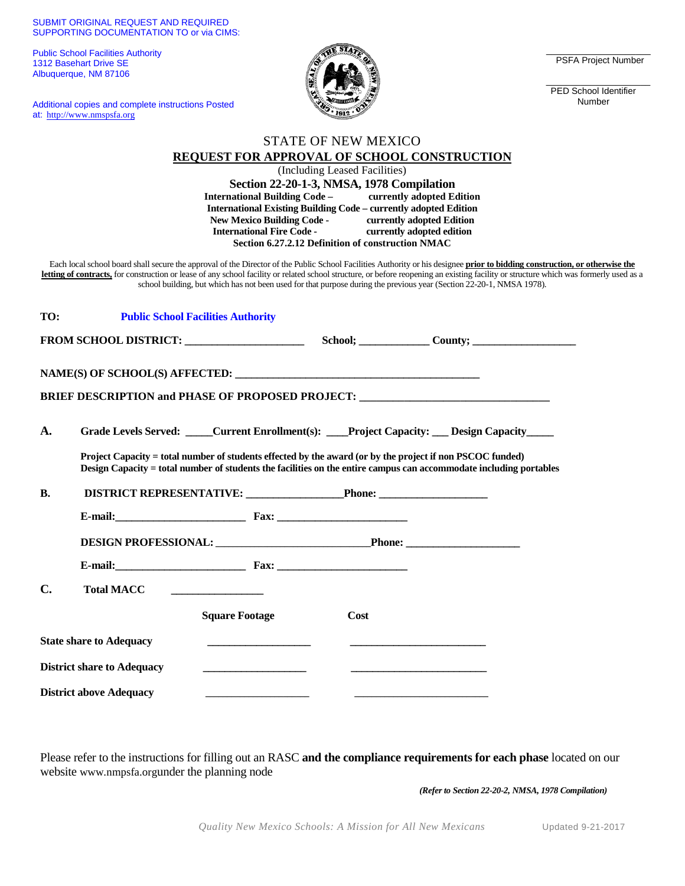## SUBMIT ORIGINAL REQUEST AND REQUIRED SUPPORTING DOCUMENTATION TO or via CIMS:

Public School Facilities Authority 1312 Basehart Drive SE Albuquerque, NM 87106

Additional copies and complete instructions Posted at: http://www.nmspsfa.org



\_\_\_\_\_\_\_\_\_\_\_\_\_\_\_\_\_\_\_\_\_ PSFA Project Number

\_\_\_\_\_\_\_\_\_\_\_\_\_\_\_\_\_\_\_\_\_ PED School Identifier Number

|                |                                   |                                                         | <b>STATE OF NEW MEXICO</b>                                              |                                                                                                                                                                                                                                                                                                                                                                                                                                                                                               |  |
|----------------|-----------------------------------|---------------------------------------------------------|-------------------------------------------------------------------------|-----------------------------------------------------------------------------------------------------------------------------------------------------------------------------------------------------------------------------------------------------------------------------------------------------------------------------------------------------------------------------------------------------------------------------------------------------------------------------------------------|--|
|                |                                   |                                                         |                                                                         | <b>REQUEST FOR APPROVAL OF SCHOOL CONSTRUCTION</b>                                                                                                                                                                                                                                                                                                                                                                                                                                            |  |
|                |                                   |                                                         | (Including Leased Facilities)                                           |                                                                                                                                                                                                                                                                                                                                                                                                                                                                                               |  |
|                |                                   |                                                         | Section 22-20-1-3, NMSA, 1978 Compilation                               |                                                                                                                                                                                                                                                                                                                                                                                                                                                                                               |  |
|                |                                   | International Building Code - currently adopted Edition | <b>International Existing Building Code - currently adopted Edition</b> |                                                                                                                                                                                                                                                                                                                                                                                                                                                                                               |  |
|                |                                   |                                                         |                                                                         | currently adopted Edition                                                                                                                                                                                                                                                                                                                                                                                                                                                                     |  |
|                |                                   | New Mexico Building Code -<br>International Fire Code - |                                                                         | currently adopted edition                                                                                                                                                                                                                                                                                                                                                                                                                                                                     |  |
|                |                                   |                                                         | Section 6.27.2.12 Definition of construction NMAC                       |                                                                                                                                                                                                                                                                                                                                                                                                                                                                                               |  |
|                |                                   |                                                         |                                                                         | Each local school board shall secure the approval of the Director of the Public School Facilities Authority or his designee prior to bidding construction, or otherwise the<br>letting of contracts, for construction or lease of any school facility or related school structure, or before reopening an existing facility or structure which was formerly used as a<br>school building, but which has not been used for that purpose during the previous year (Section 22-20-1, NMSA 1978). |  |
| TO:            |                                   | <b>Public School Facilities Authority</b>               |                                                                         |                                                                                                                                                                                                                                                                                                                                                                                                                                                                                               |  |
|                |                                   |                                                         |                                                                         | FROM SCHOOL DISTRICT: School; School; County; County;                                                                                                                                                                                                                                                                                                                                                                                                                                         |  |
|                |                                   |                                                         |                                                                         |                                                                                                                                                                                                                                                                                                                                                                                                                                                                                               |  |
|                | NAME(S) OF SCHOOL(S) AFFECTED:    |                                                         |                                                                         |                                                                                                                                                                                                                                                                                                                                                                                                                                                                                               |  |
|                |                                   |                                                         |                                                                         |                                                                                                                                                                                                                                                                                                                                                                                                                                                                                               |  |
|                |                                   |                                                         |                                                                         | BRIEF DESCRIPTION and PHASE OF PROPOSED PROJECT: _______________________________                                                                                                                                                                                                                                                                                                                                                                                                              |  |
|                |                                   |                                                         |                                                                         |                                                                                                                                                                                                                                                                                                                                                                                                                                                                                               |  |
| A.             |                                   |                                                         |                                                                         | Grade Levels Served: Current Enrollment(s): Project Capacity: Design Capacity                                                                                                                                                                                                                                                                                                                                                                                                                 |  |
|                |                                   |                                                         |                                                                         | Project Capacity = total number of students effected by the award (or by the project if non PSCOC funded)<br>Design Capacity = total number of students the facilities on the entire campus can accommodate including portables                                                                                                                                                                                                                                                               |  |
| <b>B.</b>      |                                   | DISTRICT REPRESENTATIVE: Phone: Phone:                  |                                                                         |                                                                                                                                                                                                                                                                                                                                                                                                                                                                                               |  |
|                |                                   |                                                         |                                                                         |                                                                                                                                                                                                                                                                                                                                                                                                                                                                                               |  |
|                |                                   |                                                         |                                                                         |                                                                                                                                                                                                                                                                                                                                                                                                                                                                                               |  |
|                |                                   |                                                         |                                                                         | <b>DESIGN PROFESSIONAL:</b> Phone: Phone:                                                                                                                                                                                                                                                                                                                                                                                                                                                     |  |
|                |                                   |                                                         |                                                                         |                                                                                                                                                                                                                                                                                                                                                                                                                                                                                               |  |
| $\mathbf{C}$ . | <b>Total MACC</b>                 |                                                         |                                                                         |                                                                                                                                                                                                                                                                                                                                                                                                                                                                                               |  |
|                |                                   | <b>Square Footage</b>                                   | Cost                                                                    |                                                                                                                                                                                                                                                                                                                                                                                                                                                                                               |  |
|                | <b>State share to Adequacy</b>    |                                                         |                                                                         |                                                                                                                                                                                                                                                                                                                                                                                                                                                                                               |  |
|                | <b>District share to Adequacy</b> |                                                         |                                                                         |                                                                                                                                                                                                                                                                                                                                                                                                                                                                                               |  |
|                | <b>District above Adequacy</b>    |                                                         |                                                                         |                                                                                                                                                                                                                                                                                                                                                                                                                                                                                               |  |

Please refer to the instructions for filling out an RASC **and the compliance requirements for each phase** located on our website www.nmpsfa.orgunder the planning node

*(Refer to Section 22-20-2, NMSA, 1978 Compilation)*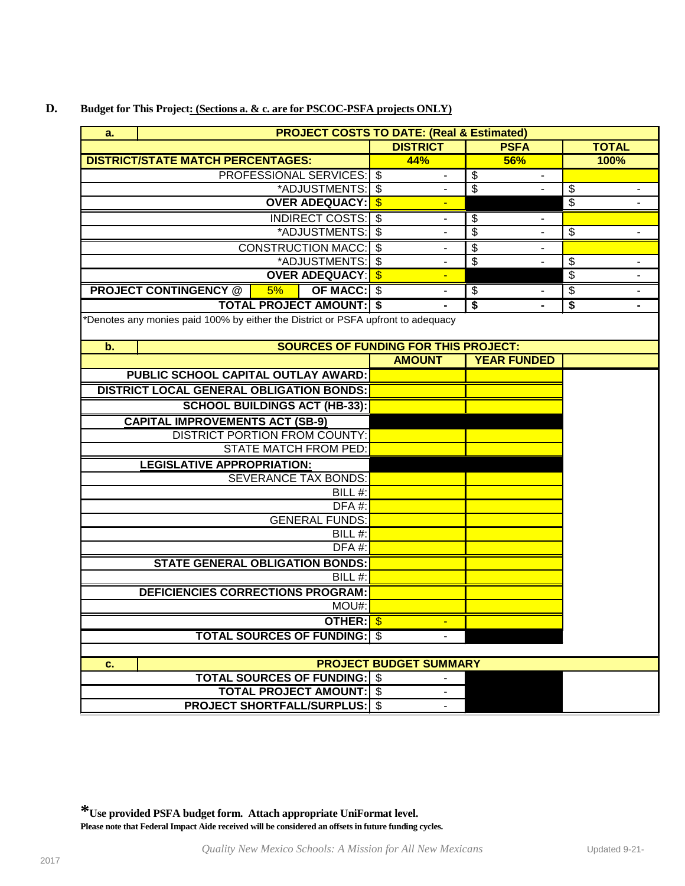|                                                |                                                                                  |    |                                             | <b>DISTRICT</b> | <b>PSFA</b>        | <b>TOTAL</b> |
|------------------------------------------------|----------------------------------------------------------------------------------|----|---------------------------------------------|-----------------|--------------------|--------------|
|                                                | <b>DISTRICT/STATE MATCH PERCENTAGES:</b>                                         |    |                                             | <b>44%</b>      | <b>56%</b>         | 100%         |
|                                                |                                                                                  |    | <b>PROFESSIONAL SERVICES:   \$</b>          |                 | \$                 |              |
|                                                |                                                                                  |    | *ADJUSTMENTS: \$                            |                 | \$                 | \$           |
|                                                |                                                                                  |    | <b>OVER ADEQUACY:   \$</b>                  |                 |                    | \$           |
| <b>INDIRECT COSTS: S</b><br>*ADJUSTMENTS:   \$ |                                                                                  |    |                                             | \$              |                    |              |
|                                                |                                                                                  |    |                                             | \$              | \$                 |              |
|                                                |                                                                                  |    | <b>CONSTRUCTION MACC: S</b>                 |                 | \$                 |              |
|                                                |                                                                                  |    | *ADJUSTMENTS: \$                            |                 | \$                 | \$           |
|                                                |                                                                                  |    | <b>OVER ADEQUACY: S</b>                     |                 |                    | \$           |
|                                                | <b>PROJECT CONTINGENCY @</b>                                                     | 5% | <b>OF MACC: \$</b>                          |                 | \$                 | \$           |
|                                                |                                                                                  |    | <b>TOTAL PROJECT AMOUNT: \$</b>             | $\blacksquare$  | \$                 | \$           |
|                                                | *Denotes any monies paid 100% by either the District or PSFA upfront to adequacy |    |                                             |                 |                    |              |
| $\mathbf b$ .                                  |                                                                                  |    | <b>SOURCES OF FUNDING FOR THIS PROJECT:</b> |                 |                    |              |
|                                                |                                                                                  |    |                                             | <b>AMOUNT</b>   | <b>YEAR FUNDED</b> |              |
|                                                | PUBLIC SCHOOL CAPITAL OUTLAY AWARD:                                              |    |                                             |                 |                    |              |

## **D. Budget for This Project: (Sections a. & c. are for PSCOC-PSFA projects ONLY)**

**a.**

|                                                 | <b>AMOUNT</b>                 | <b>YEAR FUNDED</b> |  |
|-------------------------------------------------|-------------------------------|--------------------|--|
| <b>PUBLIC SCHOOL CAPITAL OUTLAY AWARD:</b>      |                               |                    |  |
| <b>DISTRICT LOCAL GENERAL OBLIGATION BONDS:</b> |                               |                    |  |
| <b>SCHOOL BUILDINGS ACT (HB-33):</b>            |                               |                    |  |
| <b>CAPITAL IMPROVEMENTS ACT (SB-9)</b>          |                               |                    |  |
| DISTRICT PORTION FROM COUNTY:                   |                               |                    |  |
| STATE MATCH FROM PED:                           |                               |                    |  |
| <b>LEGISLATIVE APPROPRIATION:</b>               |                               |                    |  |
| <b>SEVERANCE TAX BONDS:</b>                     |                               |                    |  |
| BILL #:                                         |                               |                    |  |
| DFA#:                                           |                               |                    |  |
| <b>GENERAL FUNDS:</b>                           |                               |                    |  |
| BILL #:                                         |                               |                    |  |
| $DFA#$ :                                        |                               |                    |  |
| <b>STATE GENERAL OBLIGATION BONDS:</b>          |                               |                    |  |
| BILL#:                                          |                               |                    |  |
| DEFICIENCIES CORRECTIONS PROGRAM:               |                               |                    |  |
| MOU#:                                           |                               |                    |  |
| OTHER: S                                        |                               |                    |  |
| <b>TOTAL SOURCES OF FUNDING:   \$</b>           |                               |                    |  |
|                                                 |                               |                    |  |
| c.                                              | <b>PROJECT BUDGET SUMMARY</b> |                    |  |
| <b>TOTAL SOURCES OF FUNDING:   \$</b>           |                               |                    |  |
| <b>TOTAL PROJECT AMOUNT: S</b>                  |                               |                    |  |
| <b>PROJECT SHORTFALL/SURPLUS:   \$</b>          |                               |                    |  |

 **PROJECT COSTS TO DATE: (Real & Estimated)**

**\*Use provided PSFA budget form. Attach appropriate UniFormat level. Please note that Federal Impact Aide received will be considered an offsets in future funding cycles.**